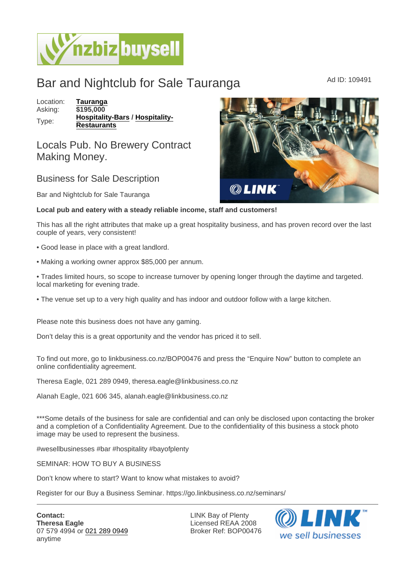## Bar and Nightclub for Sale Tauranga Ad ID: 109491

Location: [Tauranga](https://www.nzbizbuysell.co.nz/businesses-for-sale/location/Tauranga) Asking: \$195,000 Type: [Hospitality-Bars](https://www.nzbizbuysell.co.nz/businesses-for-sale/Bars/New-Zealand) / [Hospitality-](https://www.nzbizbuysell.co.nz/businesses-for-sale/Restaurants/New-Zealand)**[Restaurants](https://www.nzbizbuysell.co.nz/businesses-for-sale/Restaurants/New-Zealand)** 

Locals Pub. No Brewery Contract Making Money.

## Business for Sale Description

Bar and Nightclub for Sale Tauranga

Local pub and eatery with a steady reliable income, staff and customers!

This has all the right attributes that make up a great hospitality business, and has proven record over the last couple of years, very consistent!

- Good lease in place with a great landlord.
- Making a working owner approx \$85,000 per annum.

• Trades limited hours, so scope to increase turnover by opening longer through the daytime and targeted. local marketing for evening trade.

• The venue set up to a very high quality and has indoor and outdoor follow with a large kitchen.

Please note this business does not have any gaming.

Don't delay this is a great opportunity and the vendor has priced it to sell.

To find out more, go to linkbusiness.co.nz/BOP00476 and press the "Enquire Now" button to complete an online confidentiality agreement.

Theresa Eagle, 021 289 0949, theresa.eagle@linkbusiness.co.nz

Alanah Eagle, 021 606 345, alanah.eagle@linkbusiness.co.nz

\*\*\*Some details of the business for sale are confidential and can only be disclosed upon contacting the broker and a completion of a Confidentiality Agreement. Due to the confidentiality of this business a stock photo image may be used to represent the business.

#wesellbusinesses #bar #hospitality #bayofplenty

SEMINAR: HOW TO BUY A BUSINESS

Don't know where to start? Want to know what mistakes to avoid?

Register for our Buy a Business Seminar. https://go.linkbusiness.co.nz/seminars/

LINK Bay of Plenty Licensed REAA 2008 Broker Ref: BOP00476